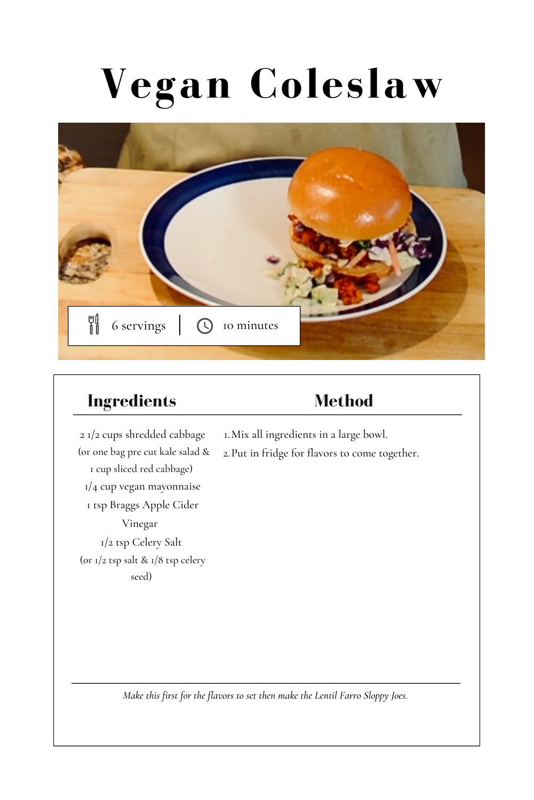# **Vegan Coleslaw**



### **Ingredients**

## **Method**

2 1/2 cups shredded cabbage (or one bag pre cut kale salad & 1 cup sliced red cabbage) 1/4 cup vegan mayonnaise 1 tsp Braggs Apple Cider Vinegar 1/2 tsp Celery Salt (or 1/2 tsp salt & 1/8 tsp celery seed)

- Mix all ingredients in a large bowl. 1.
- Put in fridge for flavors to come together. 2.

*Make this first for the flavors to set then make the Lentil Farro Sloppy Joes.*